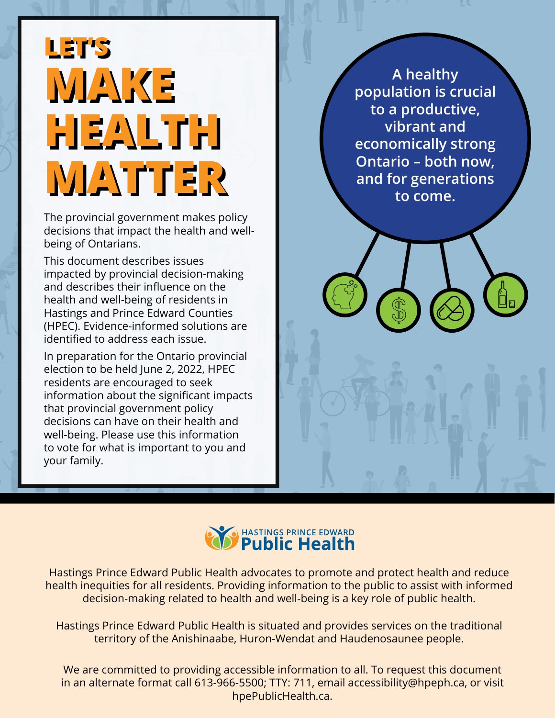# **MAKE HEALTH MATTER LET'S**

The provincial government makes policy decisions that impact the health and wellbeing of Ontarians.

This document describes issues impacted by provincial decision-making and describes their influence on the health and well-being of residents in Hastings and Prince Edward Counties (HPEC). Evidence-informed solutions are identified to address each issue.

In preparation for the Ontario provincial election to be held June 2, 2022, HPEC residents are encouraged to seek information about the significant impacts that provincial government policy decisions can have on their health and well-being. Please use this information to vote for what is important to you and your family.

**A healthy population is crucial to a productive, vibrant and economically strong Ontario – both now, and for generations to come.**



Hastings Prince Edward Public Health advocates to promote and protect health and reduce health inequities for all residents. Providing information to the public to assist with informed decision-making related to health and well-being is a key role of public health.

Hastings Prince Edward Public Health is situated and provides services on the traditional territory of the Anishinaabe, Huron-Wendat and Haudenosaunee people.

We are committed to providing accessible information to all. To request this document in an alternate format call 613-966-5500; TTY: 711, email accessibility@hpeph.ca, or visit hpePublicHealth.ca.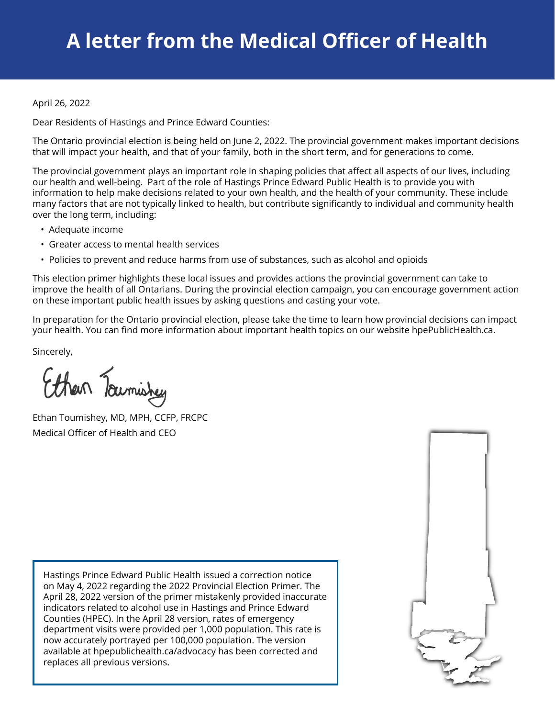#### April 26, 2022

Dear Residents of Hastings and Prince Edward Counties:

The Ontario provincial election is being held on June 2, 2022. The provincial government makes important decisions that will impact your health, and that of your family, both in the short term, and for generations to come.

The provincial government plays an important role in shaping policies that affect all aspects of our lives, including our health and well-being. Part of the role of Hastings Prince Edward Public Health is to provide you with information to help make decisions related to your own health, and the health of your community. These include many factors that are not typically linked to health, but contribute significantly to individual and community health over the long term, including:

- Adequate income
- Greater access to mental health services
- Policies to prevent and reduce harms from use of substances, such as alcohol and opioids

This election primer highlights these local issues and provides actions the provincial government can take to improve the health of all Ontarians. During the provincial election campaign, you can encourage government action on these important public health issues by asking questions and casting your vote.

In preparation for the Ontario provincial election, please take the time to learn how provincial decisions can impact your health. You can find more information about important health topics on our website hpePublicHealth.ca.

Sincerely,

their Tournishey

Ethan Toumishey, MD, MPH, CCFP, FRCPC Medical Officer of Health and CEO

Hastings Prince Edward Public Health issued a correction notice on May 4, 2022 regarding the 2022 Provincial Election Primer. The April 28, 2022 version of the primer mistakenly provided inaccurate indicators related to alcohol use in Hastings and Prince Edward Counties (HPEC). In the April 28 version, rates of emergency department visits were provided per 1,000 population. This rate is now accurately portrayed per 100,000 population. The version available at hpepublichealth.ca/advocacy has been corrected and replaces all previous versions.

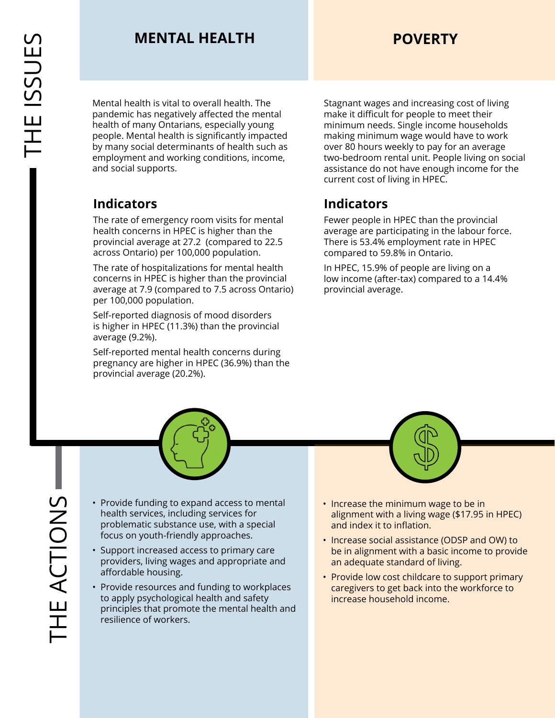### **MENTAL HEALTH**

# **POVERTY**

Mental health is vital to overall health. The pandemic has negatively affected the mental health of many Ontarians, especially young people. Mental health is significantly impacted by many social determinants of health such as employment and working conditions, income, and social supports.

#### **Indicators**

The rate of emergency room visits for mental health concerns in HPEC is higher than the provincial average at 27.2 (compared to 22.5 across Ontario) per 100,000 population.

The rate of hospitalizations for mental health concerns in HPEC is higher than the provincial average at 7.9 (compared to 7.5 across Ontario) per 100,000 population.

Self-reported diagnosis of mood disorders is higher in HPEC (11.3%) than the provincial average (9.2%).

Self-reported mental health concerns during pregnancy are higher in HPEC (36.9%) than the provincial average (20.2%).

Stagnant wages and increasing cost of living make it difficult for people to meet their minimum needs. Single income households making minimum wage would have to work over 80 hours weekly to pay for an average two-bedroom rental unit. People living on social assistance do not have enough income for the current cost of living in HPEC.

#### **Indicators**

Fewer people in HPEC than the provincial average are participating in the labour force. There is 53.4% employment rate in HPEC compared to 59.8% in Ontario.

In HPEC, 15.9% of people are living on a low income (after-tax) compared to a 14.4% provincial average.



- **THE ACTIONS** THE ACTIONS
- Provide funding to expand access to mental health services, including services for problematic substance use, with a special focus on youth-friendly approaches.
- Support increased access to primary care providers, living wages and appropriate and affordable housing.
- Provide resources and funding to workplaces to apply psychological health and safety principles that promote the mental health and resilience of workers.



- Increase the minimum wage to be in alignment with a living wage (\$17.95 in HPEC) and index it to inflation.
- Increase social assistance (ODSP and OW) to be in alignment with a basic income to provide an adequate standard of living.
- Provide low cost childcare to support primary caregivers to get back into the workforce to increase household income.